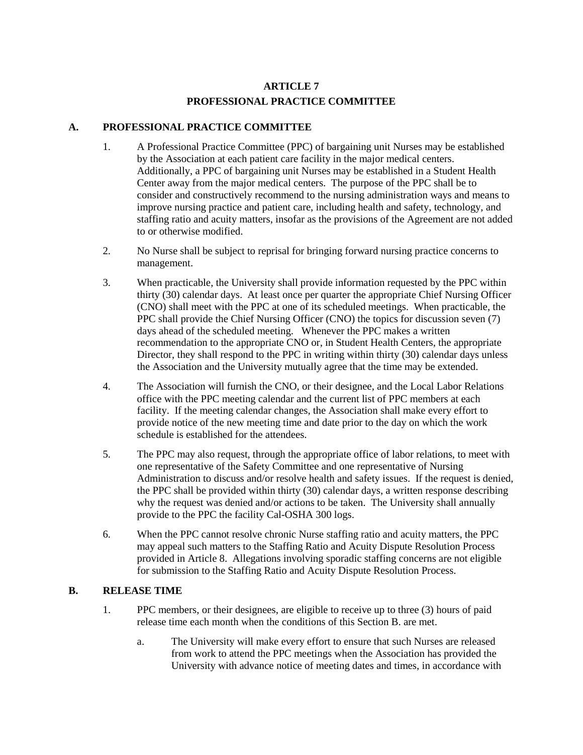## **ARTICLE 7 PROFESSIONAL PRACTICE COMMITTEE**

## **A. PROFESSIONAL PRACTICE COMMITTEE**

- 1. A Professional Practice Committee (PPC) of bargaining unit Nurses may be established by the Association at each patient care facility in the major medical centers. Additionally, a PPC of bargaining unit Nurses may be established in a Student Health Center away from the major medical centers. The purpose of the PPC shall be to consider and constructively recommend to the nursing administration ways and means to improve nursing practice and patient care, including health and safety, technology, and staffing ratio and acuity matters, insofar as the provisions of the Agreement are not added to or otherwise modified.
- 2. No Nurse shall be subject to reprisal for bringing forward nursing practice concerns to management.
- 3. When practicable, the University shall provide information requested by the PPC within thirty (30) calendar days. At least once per quarter the appropriate Chief Nursing Officer (CNO) shall meet with the PPC at one of its scheduled meetings. When practicable, the PPC shall provide the Chief Nursing Officer (CNO) the topics for discussion seven (7) days ahead of the scheduled meeting. Whenever the PPC makes a written recommendation to the appropriate CNO or, in Student Health Centers, the appropriate Director, they shall respond to the PPC in writing within thirty (30) calendar days unless the Association and the University mutually agree that the time may be extended.
- 4. The Association will furnish the CNO, or their designee, and the Local Labor Relations office with the PPC meeting calendar and the current list of PPC members at each facility. If the meeting calendar changes, the Association shall make every effort to provide notice of the new meeting time and date prior to the day on which the work schedule is established for the attendees.
- 5. The PPC may also request, through the appropriate office of labor relations, to meet with one representative of the Safety Committee and one representative of Nursing Administration to discuss and/or resolve health and safety issues. If the request is denied, the PPC shall be provided within thirty (30) calendar days, a written response describing why the request was denied and/or actions to be taken. The University shall annually provide to the PPC the facility Cal-OSHA 300 logs.
- 6. When the PPC cannot resolve chronic Nurse staffing ratio and acuity matters, the PPC may appeal such matters to the Staffing Ratio and Acuity Dispute Resolution Process provided in Article 8. Allegations involving sporadic staffing concerns are not eligible for submission to the Staffing Ratio and Acuity Dispute Resolution Process.

## **B. RELEASE TIME**

- 1. PPC members, or their designees, are eligible to receive up to three (3) hours of paid release time each month when the conditions of this Section B. are met.
	- a. The University will make every effort to ensure that such Nurses are released from work to attend the PPC meetings when the Association has provided the University with advance notice of meeting dates and times, in accordance with